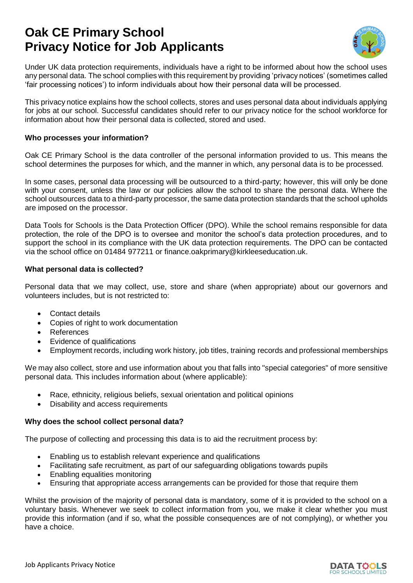# **Oak CE Primary School Privacy Notice for Job Applicants**



Under UK data protection requirements, individuals have a right to be informed about how the school uses any personal data. The school complies with this requirement by providing 'privacy notices' (sometimes called 'fair processing notices') to inform individuals about how their personal data will be processed.

This privacy notice explains how the school collects, stores and uses personal data about individuals applying for jobs at our school. Successful candidates should refer to our privacy notice for the school workforce for information about how their personal data is collected, stored and used.

# **Who processes your information?**

Oak CE Primary School is the data controller of the personal information provided to us. This means the school determines the purposes for which, and the manner in which, any personal data is to be processed.

In some cases, personal data processing will be outsourced to a third-party; however, this will only be done with your consent, unless the law or our policies allow the school to share the personal data. Where the school outsources data to a third-party processor, the same data protection standards that the school upholds are imposed on the processor.

Data Tools for Schools is the Data Protection Officer (DPO). While the school remains responsible for data protection, the role of the DPO is to oversee and monitor the school's data protection procedures, and to support the school in its compliance with the UK data protection requirements. The DPO can be contacted via the school office on 01484 977211 or finance.oakprimary@kirkleeseducation.uk.

#### **What personal data is collected?**

Personal data that we may collect, use, store and share (when appropriate) about our governors and volunteers includes, but is not restricted to:

- Contact details
- Copies of right to work documentation
- References
- Evidence of qualifications
- Employment records, including work history, job titles, training records and professional memberships

We may also collect, store and use information about you that falls into "special categories" of more sensitive personal data. This includes information about (where applicable):

- Race, ethnicity, religious beliefs, sexual orientation and political opinions
- Disability and access requirements

# **Why does the school collect personal data?**

The purpose of collecting and processing this data is to aid the recruitment process by:

- Enabling us to establish relevant experience and qualifications
- Facilitating safe recruitment, as part of our safeguarding obligations towards pupils
- Enabling equalities monitoring
- Ensuring that appropriate access arrangements can be provided for those that require them

Whilst the provision of the majority of personal data is mandatory, some of it is provided to the school on a voluntary basis. Whenever we seek to collect information from you, we make it clear whether you must provide this information (and if so, what the possible consequences are of not complying), or whether you have a choice.

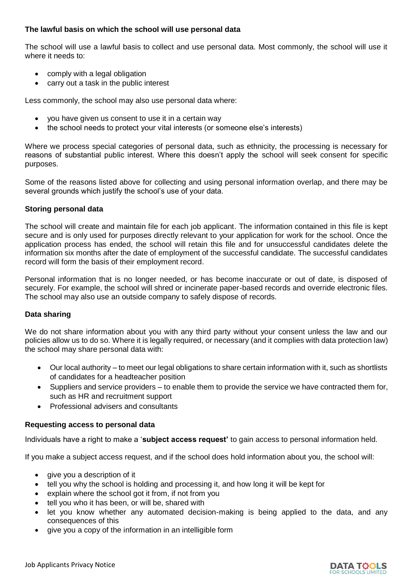# **The lawful basis on which the school will use personal data**

The school will use a lawful basis to collect and use personal data. Most commonly, the school will use it where it needs to:

- comply with a legal obligation
- carry out a task in the public interest

Less commonly, the school may also use personal data where:

- you have given us consent to use it in a certain way
- the school needs to protect your vital interests (or someone else's interests)

Where we process special categories of personal data, such as ethnicity, the processing is necessary for reasons of substantial public interest. Where this doesn't apply the school will seek consent for specific purposes.

Some of the reasons listed above for collecting and using personal information overlap, and there may be several grounds which justify the school's use of your data.

#### **Storing personal data**

The school will create and maintain file for each job applicant. The information contained in this file is kept secure and is only used for purposes directly relevant to your application for work for the school. Once the application process has ended, the school will retain this file and for unsuccessful candidates delete the information six months after the date of employment of the successful candidate. The successful candidates record will form the basis of their employment record.

Personal information that is no longer needed, or has become inaccurate or out of date, is disposed of securely. For example, the school will shred or incinerate paper-based records and override electronic files. The school may also use an outside company to safely dispose of records.

# **Data sharing**

We do not share information about you with any third party without your consent unless the law and our policies allow us to do so. Where it is legally required, or necessary (and it complies with data protection law) the school may share personal data with:

- Our local authority to meet our legal obligations to share certain information with it, such as shortlists of candidates for a headteacher position
- Suppliers and service providers to enable them to provide the service we have contracted them for, such as HR and recruitment support
- Professional advisers and consultants

#### **Requesting access to personal data**

Individuals have a right to make a '**subject access request'** to gain access to personal information held.

If you make a subject access request, and if the school does hold information about you, the school will:

- give you a description of it
- tell you why the school is holding and processing it, and how long it will be kept for
- explain where the school got it from, if not from you
- tell you who it has been, or will be, shared with
- let you know whether any automated decision-making is being applied to the data, and any consequences of this
- give you a copy of the information in an intelligible form